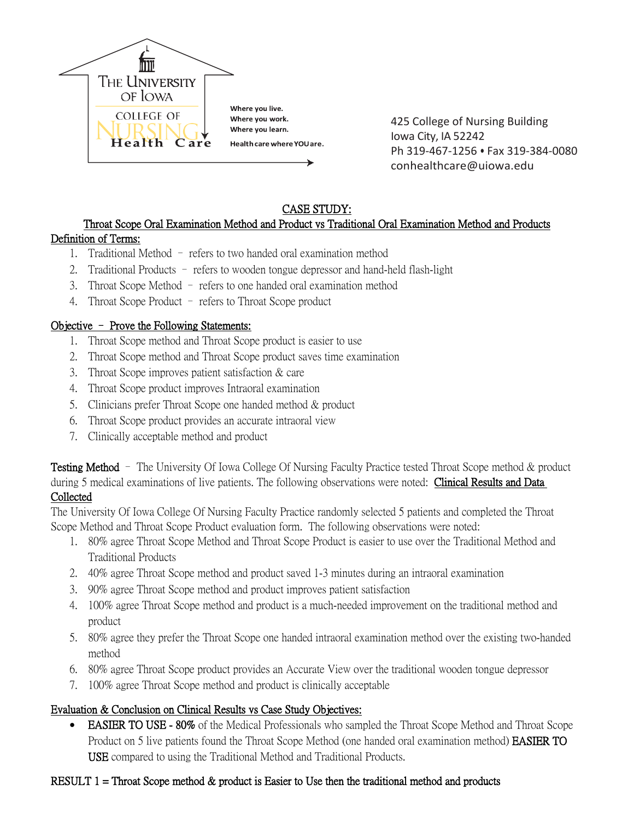

425 College of Nursing Building Iowa City, IA 52242 Ph 319-467-1256 • Fax 319-384-0080 conhealthcare@uiowa.edu

# CASE STUDY:

#### Throat Scope Oral Examination Method and Product vs Traditional Oral Examination Method and Products Definition of Terms:

- 1. Traditional Method refers to two handed oral examination method
- 2. Traditional Products refers to wooden tongue depressor and hand-held flash-light
- 3. Throat Scope Method refers to one handed oral examination method
- 4. Throat Scope Product refers to Throat Scope product

### Objective – Prove the Following Statements:

- 1. Throat Scope method and Throat Scope product is easier to use
- 2. Throat Scope method and Throat Scope product saves time examination
- 3. Throat Scope improves patient satisfaction & care
- 4. Throat Scope product improves Intraoral examination
- 5. Clinicians prefer Throat Scope one handed method & product
- 6. Throat Scope product provides an accurate intraoral view
- 7. Clinically acceptable method and product

**Testing Method** – The University Of Iowa College Of Nursing Faculty Practice tested Throat Scope method & product during 5 medical examinations of live patients. The following observations were noted: Clinical Results and Data Collected

The University Of Iowa College Of Nursing Faculty Practice randomly selected 5 patients and completed the Throat Scope Method and Throat Scope Product evaluation form. The following observations were noted:

- 1. 80% agree Throat Scope Method and Throat Scope Product is easier to use over the Traditional Method and Traditional Products
- 2. 40% agree Throat Scope method and product saved 1-3 minutes during an intraoral examination
- 3. 90% agree Throat Scope method and product improves patient satisfaction
- 4. 100% agree Throat Scope method and product is a much-needed improvement on the traditional method and product
- 5. 80% agree they prefer the Throat Scope one handed intraoral examination method over the existing two-handed method
- 6. 80% agree Throat Scope product provides an Accurate View over the traditional wooden tongue depressor
- 7. 100% agree Throat Scope method and product is clinically acceptable

# Evaluation & Conclusion on Clinical Results vs Case Study Objectives:

• **EASIER TO USE - 80%** of the Medical Professionals who sampled the Throat Scope Method and Throat Scope Product on 5 live patients found the Throat Scope Method (one handed oral examination method) EASIER TO USE compared to using the Traditional Method and Traditional Products.

# RESULT  $1 =$  Throat Scope method  $\&$  product is Easier to Use then the traditional method and products